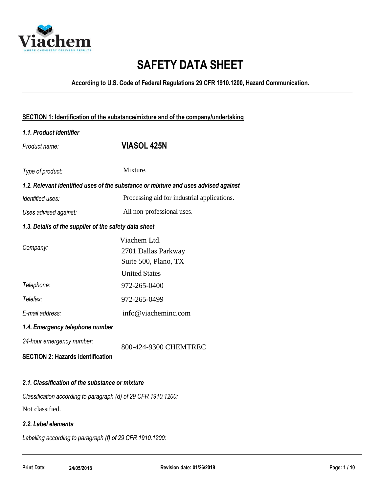

# **SAFETY DATA SHEET**

**According to U.S. Code of Federal Regulations 29 CFR 1910.1200, Hazard Communication.**

| 1.1. Product identifier                               |                                                                                     |
|-------------------------------------------------------|-------------------------------------------------------------------------------------|
| Product name:                                         | <b>VIASOL 425N</b>                                                                  |
| Type of product:                                      | Mixture.                                                                            |
|                                                       | 1.2. Relevant identified uses of the substance or mixture and uses advised against  |
| Identified uses:                                      | Processing aid for industrial applications.                                         |
| Uses advised against:                                 | All non-professional uses.                                                          |
| 1.3. Details of the supplier of the safety data sheet |                                                                                     |
| Company:                                              | Viachem Ltd.<br>2701 Dallas Parkway<br>Suite 500, Plano, TX<br><b>United States</b> |
| Telephone:                                            | 972-265-0400                                                                        |
| Telefax:                                              | 972-265-0499                                                                        |
| E-mail address:                                       | info@viacheminc.com                                                                 |
| 1.4. Emergency telephone number                       |                                                                                     |
| 24-hour emergency number:                             | 800-424-9300 CHEMTREC                                                               |
| <b>SECTION 2: Hazards identification</b>              |                                                                                     |
|                                                       |                                                                                     |
| 2.1. Classification of the substance or mixture       |                                                                                     |
|                                                       |                                                                                     |

*Classification according to paragraph (d) of 29 CFR 1910.1200:* Not classified.

### *2.2. Label elements*

*Labelling according to paragraph (f) of 29 CFR 1910.1200:*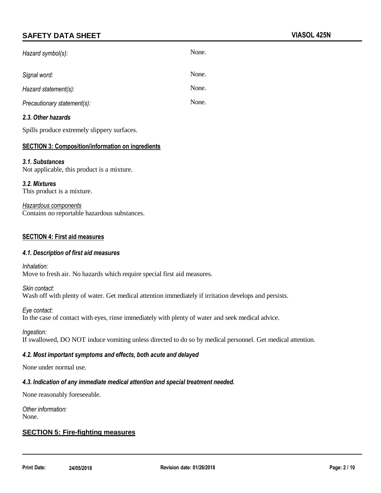| Hazard symbol(s):           | None. |
|-----------------------------|-------|
| Signal word:                | None. |
| Hazard statement(s):        | None. |
| Precautionary statement(s): | None. |

#### *2.3. Other hazards*

Spills produce extremely slippery surfaces.

#### **SECTION 3: Composition/information on ingredients**

#### *3.1. Substances*

Not applicable, this product is a mixture.

*3.2. Mixtures* This product is a mixture.

*Hazardous components* Contains no reportable hazardous substances.

#### **SECTION 4: First aid measures**

#### *4.1. Description of first aid measures*

*Inhalation:* Move to fresh air. No hazards which require special first aid measures.

*Skin contact:* Wash off with plenty of water. Get medical attention immediately if irritation develops and persists.

*Eye contact:* In the case of contact with eyes, rinse immediately with plenty of water and seek medical advice.

*Ingestion:*

If swallowed, DO NOT induce vomiting unless directed to do so by medical personnel. Get medical attention.

#### *4.2. Most important symptoms and effects, both acute and delayed*

None under normal use.

#### *4.3. Indication of any immediate medical attention and special treatment needed.*

None reasonably foreseeable.

*Other information:* None.

#### **SECTION 5: Fire-fighting measures**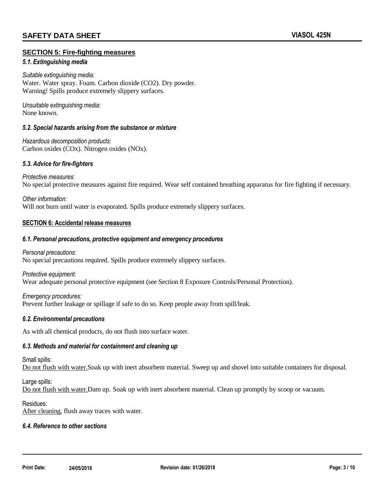#### **SECTION 5: Fire-fighting measures**

#### *5.1. Extinguishing media*

*Suitable extinguishing media:* Water. Water spray. Foam. Carbon dioxide (CO2). Dry powder. Warning! Spills produce extremely slippery surfaces.

*Unsuitable extinguishing media:* None known.

#### *5.2. Special hazards arising from the substance or mixture*

*Hazardous decomposition products:* Carbon oxides (COx). Nitrogen oxides (NOx).

#### *5.3. Advice for fire-fighters*

*Protective measures:* No special protective measures against fire required. Wear self contained breathing apparatus for fire fighting if necessary.

*Other information:* Will not burn until water is evaporated. Spills produce extremely slippery surfaces.

#### **SECTION 6: Accidental release measures**

#### *6.1. Personal precautions, protective equipment and emergency procedures*

*Personal precautions:* No special precautions required. Spills produce extremely slippery surfaces.

*Protective equipment:* Wear adequate personal protective equipment (see Section 8 Exposure Controls/Personal Protection).

*Emergency procedures:* Prevent further leakage or spillage if safe to do so. Keep people away from spill/leak.

#### *6.2. Environmental precautions*

As with all chemical products, do not flush into surface water.

#### *6.3. Methods and material for containment and cleaning up*

Small spills:

Do not flush with water.Soak up with inert absorbent material. Sweep up and shovel into suitable containers for disposal.

Large spills:

Do not flush with water.Dam up. Soak up with inert absorbent material. Clean up promptly by scoop or vacuum.

#### Residues:

After cleaning, flush away traces with water.

#### *6.4. Reference to other sections*

**Print Date: 24/05/2018 Revision date: 01/26/2018 Page: 3 / 10**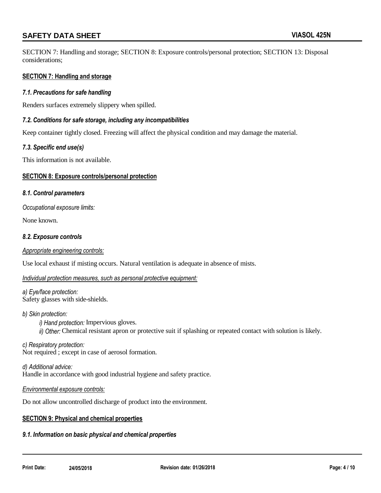SECTION 7: Handling and storage; SECTION 8: Exposure controls/personal protection; SECTION 13: Disposal considerations;

#### **SECTION 7: Handling and storage**

#### *7.1. Precautions for safe handling*

Renders surfaces extremely slippery when spilled.

#### *7.2. Conditions for safe storage, including any incompatibilities*

Keep container tightly closed. Freezing will affect the physical condition and may damage the material.

#### *7.3. Specific end use(s)*

This information is not available.

#### **SECTION 8: Exposure controls/personal protection**

#### *8.1. Control parameters*

*Occupational exposure limits:*

None known.

#### *8.2. Exposure controls*

#### *Appropriate engineering controls:*

Use local exhaust if misting occurs. Natural ventilation is adequate in absence of mists.

#### *Individual protection measures, such as personal protective equipment:*

*a) Eye/face protection:* Safety glasses with side-shields.

#### *b) Skin protection:*

*i) Hand protection:* Impervious gloves. *ii) Other:* Chemical resistant apron or protective suit if splashing or repeated contact with solution is likely.

*c) Respiratory protection:* Not required ; except in case of aerosol formation.

*d) Additional advice:* Handle in accordance with good industrial hygiene and safety practice.

#### *Environmental exposure controls:*

Do not allow uncontrolled discharge of product into the environment.

#### **SECTION 9: Physical and chemical properties**

#### *9.1. Information on basic physical and chemical properties*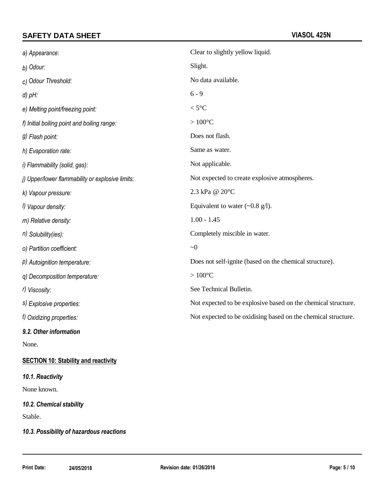| a) Appearance:                                   | Clear to slightly yellow liquid.                              |
|--------------------------------------------------|---------------------------------------------------------------|
| b) Odour:                                        | Slight.                                                       |
| c) Odour Threshold:                              | No data available.                                            |
| $d$ ) $pH$ :                                     | $6 - 9$                                                       |
| e) Melting point/freezing point:                 | $<$ 5 $^{\circ}$ C                                            |
| f) Initial boiling point and boiling range:      | $>100^{\circ}$ C                                              |
| g) Flash point:                                  | Does not flash.                                               |
| h) Evaporation rate:                             | Same as water.                                                |
| i) Flammability (solid, gas):                    | Not applicable.                                               |
| j) Upper/lower flammability or explosive limits: | Not expected to create explosive atmospheres.                 |
| k) Vapour pressure:                              | 2.3 kPa @ 20°C                                                |
| I) Vapour density:                               | Equivalent to water $(\sim 0.8 \text{ g/l})$ .                |
| m) Relative density:                             | $1.00 - 1.45$                                                 |
| $n)$ Solubility(ies):                            | Completely miscible in water.                                 |
| o) Partition coefficient:                        | ~1                                                            |
| P) Autoignition temperature:                     | Does not self-ignite (based on the chemical structure).       |
| q) Decomposition temperature:                    | $>100^{\circ}$ C                                              |
| r) Viscosity:                                    | See Technical Bulletin.                                       |
| s) Explosive properties:                         | Not expected to be explosive based on the chemical structure. |
| t) Oxidizing properties:                         | Not expected to be oxidising based on the chemical structure. |
| 9.2. Other information                           |                                                               |

None.

### **SECTION 10: Stability and reactivity**

#### *10.1. Reactivity*

None known.

*10.2. Chemical stability*

Stable.

### *10.3. Possibility of hazardous reactions*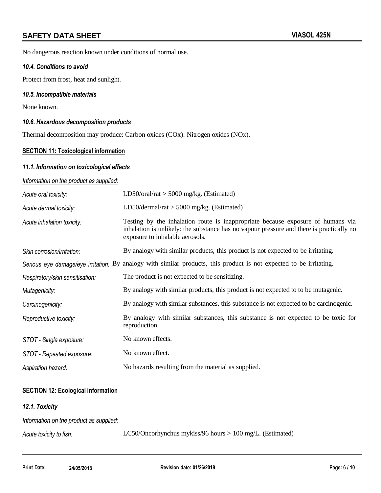No dangerous reaction known under conditions of normal use.

#### *10.4. Conditions to avoid*

Protect from frost, heat and sunlight.

#### *10.5. Incompatible materials*

None known.

#### *10.6. Hazardous decomposition products*

Thermal decomposition may produce: Carbon oxides (COx). Nitrogen oxides (NOx).

#### **SECTION 11: Toxicological information**

#### *11.1. Information on toxicological effects*

#### *Information on the product as supplied:*

| Acute oral toxicity:            | LD50/oral/rat $>$ 5000 mg/kg. (Estimated)                                                                                                                                                                      |
|---------------------------------|----------------------------------------------------------------------------------------------------------------------------------------------------------------------------------------------------------------|
| Acute dermal toxicity:          | LD50/dermal/rat $>$ 5000 mg/kg. (Estimated)                                                                                                                                                                    |
| Acute inhalation toxicity:      | Testing by the inhalation route is inappropriate because exposure of humans via<br>inhalation is unlikely: the substance has no vapour pressure and there is practically no<br>exposure to inhalable aerosols. |
| Skin corrosion/irritation:      | By analogy with similar products, this product is not expected to be irritating.                                                                                                                               |
|                                 | Serious eye damage/eye irritation: By analogy with similar products, this product is not expected to be irritating.                                                                                            |
| Respiratory/skin sensitisation: | The product is not expected to be sensitizing.                                                                                                                                                                 |
| Mutagenicity:                   | By analogy with similar products, this product is not expected to to be mutagenic.                                                                                                                             |
| Carcinogenicity:                | By analogy with similar substances, this substance is not expected to be carcinogenic.                                                                                                                         |
| Reproductive toxicity:          | By analogy with similar substances, this substance is not expected to be toxic for<br>reproduction.                                                                                                            |
| STOT - Single exposure:         | No known effects.                                                                                                                                                                                              |
| STOT - Repeated exposure:       | No known effect.                                                                                                                                                                                               |
| Aspiration hazard:              | No hazards resulting from the material as supplied.                                                                                                                                                            |

#### **SECTION 12: Ecological information**

#### *12.1. Toxicity*

| Information on the product as supplied: |                                                             |
|-----------------------------------------|-------------------------------------------------------------|
| Acute toxicity to fish:                 | LC50/Oncorhynchus mykiss/96 hours $> 100$ mg/L. (Estimated) |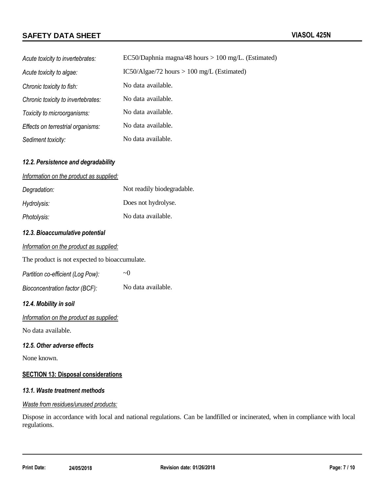| Acute toxicity to invertebrates:   | EC50/Daphnia magna/48 hours $> 100$ mg/L. (Estimated) |
|------------------------------------|-------------------------------------------------------|
| Acute toxicity to algae:           | $IC50/Algae/72 hours > 100 mg/L$ (Estimated)          |
| Chronic toxicity to fish:          | No data available.                                    |
| Chronic toxicity to invertebrates: | No data available.                                    |
| Toxicity to microorganisms:        | No data available.                                    |
| Effects on terrestrial organisms:  | No data available.                                    |
| Sediment toxicity:                 | No data available.                                    |

#### *12.2. Persistence and degradability*

#### *Information on the product as supplied:*

| Degradation: | Not readily biodegradable. |
|--------------|----------------------------|
| Hydrolysis:  | Does not hydrolyse.        |
| Photolysis:  | No data available.         |

#### *12.3. Bioaccumulative potential*

|  | Information on the product as supplied: |  |  |  |
|--|-----------------------------------------|--|--|--|
|--|-----------------------------------------|--|--|--|

The product is not expected to bioaccumulate.

| Partition co-efficient (Log Pow): | $\sim$ ()          |
|-----------------------------------|--------------------|
| Bioconcentration factor (BCF):    | No data available. |

#### *12.4. Mobility in soil*

*Information on the product as supplied:*

No data available.

#### *12.5. Other adverse effects*

None known.

#### **SECTION 13: Disposal considerations**

#### *13.1. Waste treatment methods*

#### *Waste from residues/unused products:*

Dispose in accordance with local and national regulations. Can be landfilled or incinerated, when in compliance with local regulations.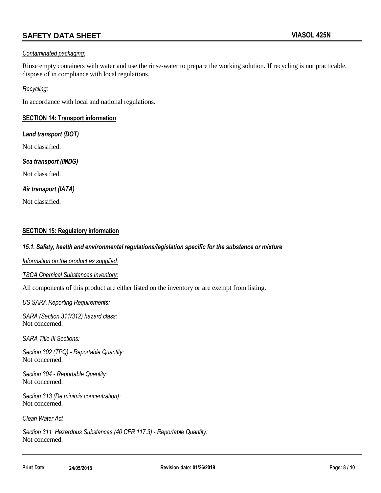#### *Contaminated packaging:*

Rinse empty containers with water and use the rinse-water to prepare the working solution. If recycling is not practicable, dispose of in compliance with local regulations.

#### *Recycling:*

In accordance with local and national regulations.

#### **SECTION 14: Transport information**

#### *Land transport (DOT)*

Not classified.

#### *Sea transport (IMDG)*

Not classified.

#### *Air transport (IATA)*

Not classified.

#### **SECTION 15: Regulatory information**

#### *15.1. Safety, health and environmental regulations/legislation specific for the substance or mixture*

*Information on the product as supplied:*

#### *TSCA Chemical Substances Inventory:*

All components of this product are either listed on the inventory or are exempt from listing.

#### *US SARA Reporting Requirements:*

*SARA (Section 311/312) hazard class:* Not concerned.

*SARA Title III Sections:*

*Section 302 (TPQ) - Reportable Quantity:* Not concerned.

*Section 304 - Reportable Quantity:* Not concerned.

*Section 313 (De minimis concentration):* Not concerned.

#### *Clean Water Act*

*Section 311 Hazardous Substances (40 CFR 117.3) - Reportable Quantity:* Not concerned.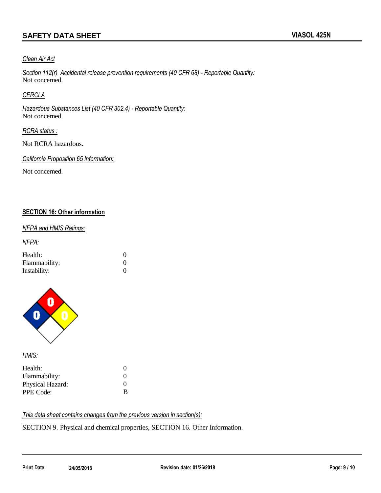#### *Clean Air Act*

*Section 112(r) Accidental release prevention requirements (40 CFR 68) - Reportable Quantity:* Not concerned.

#### *CERCLA*

*Hazardous Substances List (40 CFR 302.4) - Reportable Quantity:* Not concerned.

#### *RCRA status :*

Not RCRA hazardous.

*California Proposition 65 Information:*

Not concerned.

#### **SECTION 16: Other information**

#### *NFPA and HMIS Ratings:*

*NFPA:*

| Health:       |          |
|---------------|----------|
| Flammability: |          |
| Instability:  | $\Omega$ |



*HMIS:*

| Health:          | $\mathbf{\Omega}$ |
|------------------|-------------------|
| Flammability:    | $\mathbf{\Omega}$ |
| Physical Hazard: | $\mathbf{\Omega}$ |
| PPE Code:        | B                 |

*This data sheet contains changes from the previous version in section(s):*

SECTION 9. Physical and chemical properties, SECTION 16. Other Information.